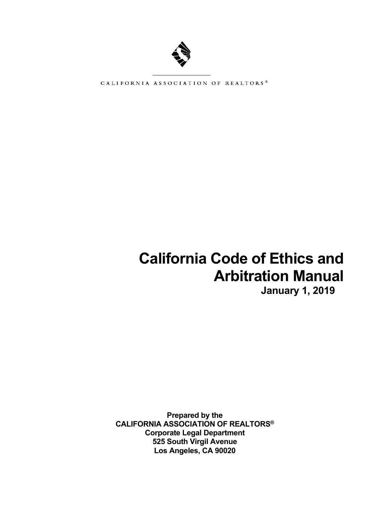

CALIFORNIA ASSOCIATION OF REALTORS\*

# **California Code of Ethics and Arbitration Manual**

**January 1, 2019** 

**Prepared by the CALIFORNIA ASSOCIATION OF REALTORS® Corporate Legal Department 525 South Virgil Avenue Los Angeles, CA 90020**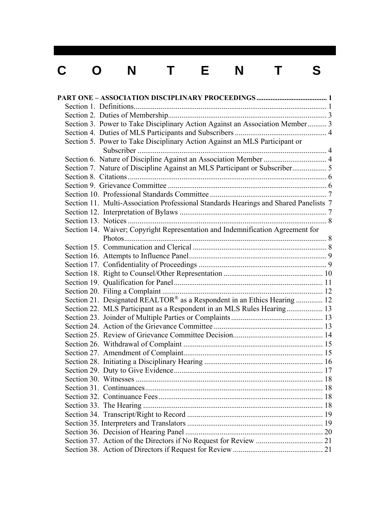# C O N T E N T S

| Section 3. Power to Take Disciplinary Action Against an Association Member 3         |  |
|--------------------------------------------------------------------------------------|--|
|                                                                                      |  |
| Section 5. Power to Take Disciplinary Action Against an MLS Participant or           |  |
|                                                                                      |  |
| Section 6. Nature of Discipline Against an Association Member  4                     |  |
| Section 7. Nature of Discipline Against an MLS Participant or Subscriber 5           |  |
|                                                                                      |  |
|                                                                                      |  |
|                                                                                      |  |
| Section 11. Multi-Association Professional Standards Hearings and Shared Panelists 7 |  |
|                                                                                      |  |
|                                                                                      |  |
| Section 14. Waiver; Copyright Representation and Indemnification Agreement for       |  |
|                                                                                      |  |
|                                                                                      |  |
|                                                                                      |  |
|                                                                                      |  |
|                                                                                      |  |
|                                                                                      |  |
|                                                                                      |  |
| Section 21. Designated REALTOR® as a Respondent in an Ethics Hearing  12             |  |
| Section 22. MLS Participant as a Respondent in an MLS Rules Hearing 13               |  |
|                                                                                      |  |
|                                                                                      |  |
|                                                                                      |  |
|                                                                                      |  |
|                                                                                      |  |
|                                                                                      |  |
|                                                                                      |  |
|                                                                                      |  |
|                                                                                      |  |
|                                                                                      |  |
|                                                                                      |  |
|                                                                                      |  |
|                                                                                      |  |
|                                                                                      |  |
|                                                                                      |  |
|                                                                                      |  |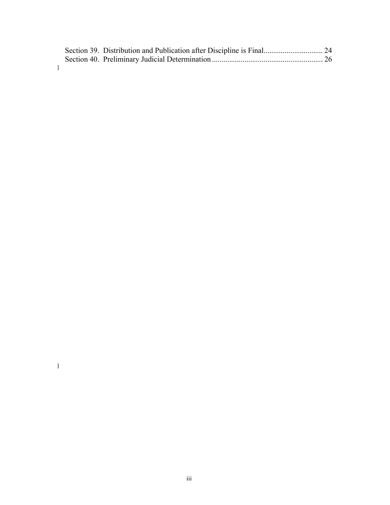|  | Section 39. Distribution and Publication after Discipline is Final 24 |  |
|--|-----------------------------------------------------------------------|--|
|  |                                                                       |  |
|  |                                                                       |  |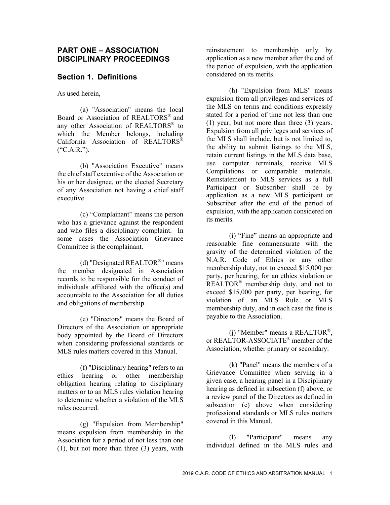#### **PART ONE – ASSOCIATION DISCIPLINARY PROCEEDINGS**

#### **Section 1. Definitions**

As used herein,

(a) "Association" means the local Board or Association of REALTORS® and any other Association of REALTORS® to which the Member belongs, including California Association of REALTORS®  $(*C.A.R.")$ .

(b) "Association Executive" means the chief staff executive of the Association or his or her designee, or the elected Secretary of any Association not having a chief staff executive.

(c) "Complainant" means the person who has a grievance against the respondent and who files a disciplinary complaint. In some cases the Association Grievance Committee is the complainant.

(d) "Designated REALTOR®" means the member designated in Association records to be responsible for the conduct of individuals affiliated with the office(s) and accountable to the Association for all duties and obligations of membership.

(e) "Directors" means the Board of Directors of the Association or appropriate body appointed by the Board of Directors when considering professional standards or MLS rules matters covered in this Manual.

(f) "Disciplinary hearing" refers to an ethics hearing or other membership obligation hearing relating to disciplinary matters or to an MLS rules violation hearing to determine whether a violation of the MLS rules occurred.

(g) "Expulsion from Membership" means expulsion from membership in the Association for a period of not less than one (1), but not more than three (3) years, with reinstatement to membership only by application as a new member after the end of the period of expulsion, with the application considered on its merits.

(h) "Expulsion from MLS" means expulsion from all privileges and services of the MLS on terms and conditions expressly stated for a period of time not less than one (1) year, but not more than three (3) years. Expulsion from all privileges and services of the MLS shall include, but is not limited to, the ability to submit listings to the MLS, retain current listings in the MLS data base, use computer terminals, receive MLS Compilations or comparable materials. Reinstatement to MLS services as a full Participant or Subscriber shall be by application as a new MLS participant or Subscriber after the end of the period of expulsion, with the application considered on its merits.

(i) "Fine" means an appropriate and reasonable fine commensurate with the gravity of the determined violation of the N.A.R. Code of Ethics or any other membership duty, not to exceed \$15,000 per party, per hearing, for an ethics violation or REALTOR<sup>®</sup> membership duty, and not to exceed \$15,000 per party, per hearing, for violation of an MLS Rule or MLS membership duty, and in each case the fine is payable to the Association.

(j) "Member" means a REALTOR®, or REALTOR-ASSOCIATE® member of the Association, whether primary or secondary.

(k) "Panel" means the members of a Grievance Committee when serving in a given case, a hearing panel in a Disciplinary hearing as defined in subsection (f) above, or a review panel of the Directors as defined in subsection (e) above when considering professional standards or MLS rules matters covered in this Manual.

(l) "Participant" means any individual defined in the MLS rules and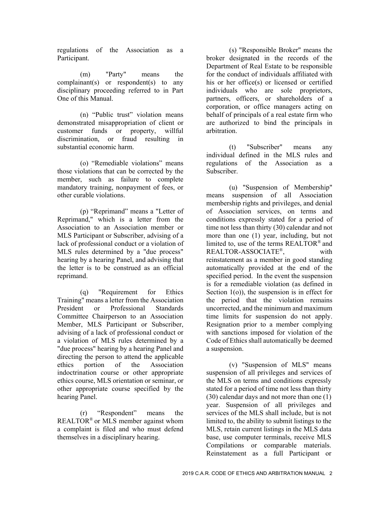regulations of the Association as a Participant.

(m) "Party" means the complainant(s) or respondent(s) to any disciplinary proceeding referred to in Part One of this Manual.

(n) "Public trust" violation means demonstrated misappropriation of client or customer funds or property, willful discrimination, or fraud resulting in substantial economic harm.

(o) "Remediable violations" means those violations that can be corrected by the member, such as failure to complete mandatory training, nonpayment of fees, or other curable violations.

(p) "Reprimand" means a "Letter of Reprimand," which is a letter from the Association to an Association member or MLS Participant or Subscriber, advising of a lack of professional conduct or a violation of MLS rules determined by a "due process" hearing by a hearing Panel, and advising that the letter is to be construed as an official reprimand.

(q) "Requirement for Ethics Training" means a letter from the Association President or Professional Standards Committee Chairperson to an Association Member, MLS Participant or Subscriber, advising of a lack of professional conduct or a violation of MLS rules determined by a "due process" hearing by a hearing Panel and directing the person to attend the applicable ethics portion of the Association indoctrination course or other appropriate ethics course, MLS orientation or seminar, or other appropriate course specified by the hearing Panel.

(r) "Respondent" means the REALTOR® or MLS member against whom a complaint is filed and who must defend themselves in a disciplinary hearing.

(s) "Responsible Broker" means the broker designated in the records of the Department of Real Estate to be responsible for the conduct of individuals affiliated with his or her office(s) or licensed or certified individuals who are sole proprietors, partners, officers, or shareholders of a corporation, or office managers acting on behalf of principals of a real estate firm who are authorized to bind the principals in arbitration.

(t) "Subscriber" means any individual defined in the MLS rules and regulations of the Association as a Subscriber.

(u) "Suspension of Membership" means suspension of all Association membership rights and privileges, and denial of Association services, on terms and conditions expressly stated for a period of time not less than thirty (30) calendar and not more than one (1) year, including, but not limited to, use of the terms REALTOR® and REALTOR-ASSOCIATE®, with reinstatement as a member in good standing automatically provided at the end of the specified period. In the event the suspension is for a remediable violation (as defined in Section 1(o)), the suspension is in effect for the period that the violation remains uncorrected, and the minimum and maximum time limits for suspension do not apply. Resignation prior to a member complying with sanctions imposed for violation of the Code of Ethics shall automatically be deemed a suspension.

(v) "Suspension of MLS" means suspension of all privileges and services of the MLS on terms and conditions expressly stated for a period of time not less than thirty (30) calendar days and not more than one (1) year. Suspension of all privileges and services of the MLS shall include, but is not limited to, the ability to submit listings to the MLS, retain current listings in the MLS data base, use computer terminals, receive MLS Compilations or comparable materials. Reinstatement as a full Participant or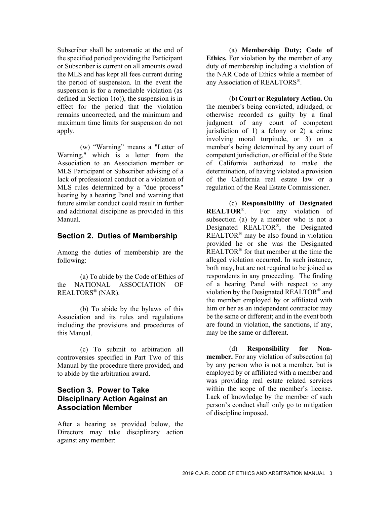Subscriber shall be automatic at the end of the specified period providing the Participant or Subscriber is current on all amounts owed the MLS and has kept all fees current during the period of suspension. In the event the suspension is for a remediable violation (as defined in Section 1(o)), the suspension is in effect for the period that the violation remains uncorrected, and the minimum and maximum time limits for suspension do not apply.

(w) "Warning" means a "Letter of Warning," which is a letter from the Association to an Association member or MLS Participant or Subscriber advising of a lack of professional conduct or a violation of MLS rules determined by a "due process" hearing by a hearing Panel and warning that future similar conduct could result in further and additional discipline as provided in this Manual.

#### **Section 2. Duties of Membership**

Among the duties of membership are the following:

(a) To abide by the Code of Ethics of the NATIONAL ASSOCIATION OF REALTORS® (NAR).

(b) To abide by the bylaws of this Association and its rules and regulations including the provisions and procedures of this Manual.

(c) To submit to arbitration all controversies specified in Part Two of this Manual by the procedure there provided, and to abide by the arbitration award.

# **Section 3. Power to Take Disciplinary Action Against an Association Member**

After a hearing as provided below, the Directors may take disciplinary action against any member:

(a) **Membership Duty; Code of Ethics.** For violation by the member of any duty of membership including a violation of the NAR Code of Ethics while a member of any Association of REALTORS®.

(b) **Court or Regulatory Action.** On the member's being convicted, adjudged, or otherwise recorded as guilty by a final judgment of any court of competent jurisdiction of 1) a felony or 2) a crime involving moral turpitude, or 3) on a member's being determined by any court of competent jurisdiction, or official of the State of California authorized to make the determination, of having violated a provision of the California real estate law or a regulation of the Real Estate Commissioner.

(c) **Responsibility of Designated REALTOR**®. For any violation of subsection (a) by a member who is not a Designated REALTOR®, the Designated REALTOR<sup>®</sup> may be also found in violation provided he or she was the Designated REALTOR® for that member at the time the alleged violation occurred. In such instance, both may, but are not required to be joined as respondents in any proceeding. The finding of a hearing Panel with respect to any violation by the Designated REALTOR® and the member employed by or affiliated with him or her as an independent contractor may be the same or different; and in the event both are found in violation, the sanctions, if any, may be the same or different.

(d) **Responsibility for Nonmember.** For any violation of subsection (a) by any person who is not a member, but is employed by or affiliated with a member and was providing real estate related services within the scope of the member's license. Lack of knowledge by the member of such person's conduct shall only go to mitigation of discipline imposed.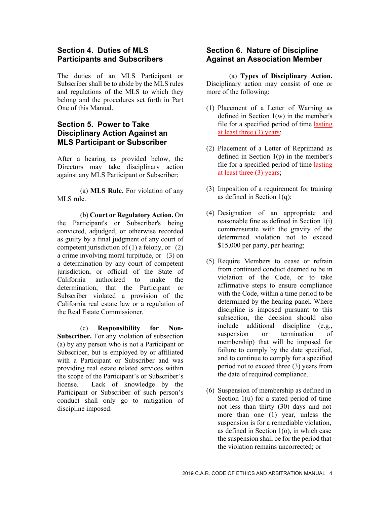### **Section 4. Duties of MLS Participants and Subscribers**

The duties of an MLS Participant or Subscriber shall be to abide by the MLS rules and regulations of the MLS to which they belong and the procedures set forth in Part One of this Manual.

# **Section 5. Power to Take Disciplinary Action Against an MLS Participant or Subscriber**

After a hearing as provided below, the Directors may take disciplinary action against any MLS Participant or Subscriber:

(a) **MLS Rule.** For violation of any MLS rule.

(b) **Court or Regulatory Action.** On the Participant's or Subscriber's being convicted, adjudged, or otherwise recorded as guilty by a final judgment of any court of competent jurisdiction of  $(1)$  a felony, or  $(2)$ a crime involving moral turpitude, or (3) on a determination by any court of competent jurisdiction, or official of the State of California authorized to make the determination, that the Participant or Subscriber violated a provision of the California real estate law or a regulation of the Real Estate Commissioner.

(c) **Responsibility for Non-Subscriber.** For any violation of subsection (a) by any person who is not a Participant or Subscriber, but is employed by or affiliated with a Participant or Subscriber and was providing real estate related services within the scope of the Participant's or Subscriber's license. Lack of knowledge by the Participant or Subscriber of such person's conduct shall only go to mitigation of discipline imposed.

# **Section 6. Nature of Discipline Against an Association Member**

(a) **Types of Disciplinary Action.**  Disciplinary action may consist of one or more of the following:

- (1) Placement of a Letter of Warning as defined in Section 1(w) in the member's file for a specified period of time lasting at least three (3) years;
- (2) Placement of a Letter of Reprimand as defined in Section 1(p) in the member's file for a specified period of time lasting at least three (3) years;
- (3) Imposition of a requirement for training as defined in Section  $1(q)$ ;
- (4) Designation of an appropriate and reasonable fine as defined in Section 1(i) commensurate with the gravity of the determined violation not to exceed \$15,000 per party, per hearing;
- (5) Require Members to cease or refrain from continued conduct deemed to be in violation of the Code, or to take affirmative steps to ensure compliance with the Code, within a time period to be determined by the hearing panel. Where discipline is imposed pursuant to this subsection, the decision should also include additional discipline (e.g., suspension or termination of membership) that will be imposed for failure to comply by the date specified, and to continue to comply for a specified period not to exceed three (3) years from the date of required compliance.
- (6) Suspension of membership as defined in Section 1(u) for a stated period of time not less than thirty (30) days and not more than one (1) year, unless the suspension is for a remediable violation, as defined in Section 1(o), in which case the suspension shall be for the period that the violation remains uncorrected; or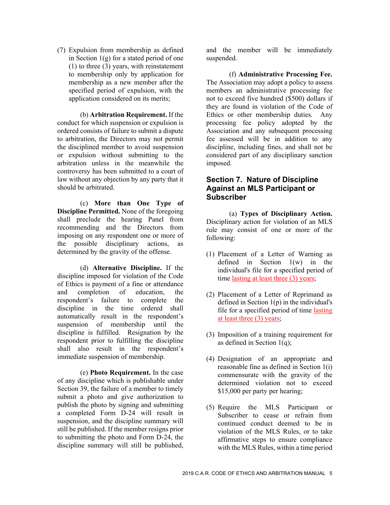(7) Expulsion from membership as defined in Section  $1(g)$  for a stated period of one (1) to three (3) years, with reinstatement to membership only by application for membership as a new member after the specified period of expulsion, with the application considered on its merits;

(b) **Arbitration Requirement.** If the conduct for which suspension or expulsion is ordered consists of failure to submit a dispute to arbitration, the Directors may not permit the disciplined member to avoid suspension or expulsion without submitting to the arbitration unless in the meanwhile the controversy has been submitted to a court of law without any objection by any party that it should be arbitrated.

(c) **More than One Type of Discipline Permitted.** None of the foregoing shall preclude the hearing Panel from recommending and the Directors from imposing on any respondent one or more of the possible disciplinary actions, as determined by the gravity of the offense.

(d) **Alternative Discipline.** If the discipline imposed for violation of the Code of Ethics is payment of a fine or attendance and completion of education, the respondent's failure to complete the discipline in the time ordered shall automatically result in the respondent's suspension of membership until the discipline is fulfilled. Resignation by the respondent prior to fulfilling the discipline shall also result in the respondent's immediate suspension of membership.

(e) **Photo Requirement.** In the case of any discipline which is publishable under Section 39, the failure of a member to timely submit a photo and give authorization to publish the photo by signing and submitting a completed Form D-24 will result in suspension, and the discipline summary will still be published. If the member resigns prior to submitting the photo and Form D-24, the discipline summary will still be published,

and the member will be immediately suspended.

(f) **Administrative Processing Fee.**  The Association may adopt a policy to assess members an administrative processing fee not to exceed five hundred (\$500) dollars if they are found in violation of the Code of Ethics or other membership duties. Any processing fee policy adopted by the Association and any subsequent processing fee assessed will be in addition to any discipline, including fines, and shall not be considered part of any disciplinary sanction imposed.

# **Section 7. Nature of Discipline Against an MLS Participant or Subscriber**

(a) **Types of Disciplinary Action.**  Disciplinary action for violation of an MLS rule may consist of one or more of the following:

- (1) Placement of a Letter of Warning as defined in Section 1(w) in the individual's file for a specified period of time lasting at least three (3) years;
- (2) Placement of a Letter of Reprimand as defined in Section  $1(p)$  in the individual's file for a specified period of time lasting at least three (3) years;
- (3) Imposition of a training requirement for as defined in Section 1(q);
- (4) Designation of an appropriate and reasonable fine as defined in Section 1(i) commensurate with the gravity of the determined violation not to exceed \$15,000 per party per hearing;
- (5) Require the MLS Participant or Subscriber to cease or refrain from continued conduct deemed to be in violation of the MLS Rules, or to take affirmative steps to ensure compliance with the MLS Rules, within a time period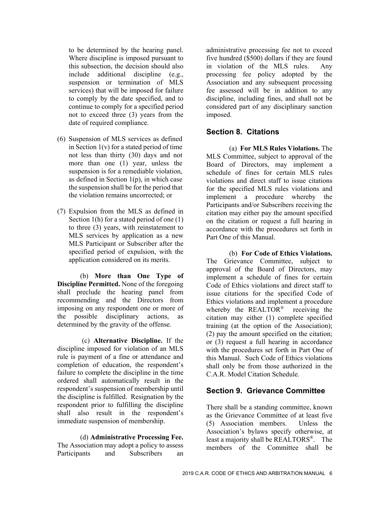to be determined by the hearing panel. Where discipline is imposed pursuant to this subsection, the decision should also include additional discipline (e.g., suspension or termination of MLS services) that will be imposed for failure to comply by the date specified, and to continue to comply for a specified period not to exceed three (3) years from the date of required compliance.

- (6) Suspension of MLS services as defined in Section  $1(v)$  for a stated period of time not less than thirty (30) days and not more than one (1) year, unless the suspension is for a remediable violation, as defined in Section  $1(p)$ , in which case the suspension shall be for the period that the violation remains uncorrected; or
- (7) Expulsion from the MLS as defined in Section 1(h) for a stated period of one (1) to three (3) years, with reinstatement to MLS services by application as a new MLS Participant or Subscriber after the specified period of expulsion, with the application considered on its merits.

(b) **More than One Type of Discipline Permitted.** None of the foregoing shall preclude the hearing panel from recommending and the Directors from imposing on any respondent one or more of the possible disciplinary actions, as determined by the gravity of the offense.

 (c) **Alternative Discipline.** If the discipline imposed for violation of an MLS rule is payment of a fine or attendance and completion of education, the respondent's failure to complete the discipline in the time ordered shall automatically result in the respondent's suspension of membership until the discipline is fulfilled. Resignation by the respondent prior to fulfilling the discipline shall also result in the respondent's immediate suspension of membership.

(d) **Administrative Processing Fee.**  The Association may adopt a policy to assess Participants and Subscribers an

administrative processing fee not to exceed five hundred (\$500) dollars if they are found in violation of the MLS rules. Any processing fee policy adopted by the Association and any subsequent processing fee assessed will be in addition to any discipline, including fines, and shall not be considered part of any disciplinary sanction imposed.

# **Section 8. Citations**

(a) **For MLS Rules Violations.** The MLS Committee, subject to approval of the Board of Directors, may implement a schedule of fines for certain MLS rules violations and direct staff to issue citations for the specified MLS rules violations and implement a procedure whereby the Participants and/or Subscribers receiving the citation may either pay the amount specified on the citation or request a full hearing in accordance with the procedures set forth in Part One of this Manual.

(b) **For Code of Ethics Violations.**  The Grievance Committee, subject to approval of the Board of Directors, may implement a schedule of fines for certain Code of Ethics violations and direct staff to issue citations for the specified Code of Ethics violations and implement a procedure whereby the REALTOR<sup>®</sup> receiving the citation may either (1) complete specified training (at the option of the Association); (2) pay the amount specified on the citation; or (3) request a full hearing in accordance with the procedures set forth in Part One of this Manual. Such Code of Ethics violations shall only be from those authorized in the C.A.R. Model Citation Schedule.

#### **Section 9. Grievance Committee**

There shall be a standing committee, known as the Grievance Committee of at least five (5) Association members. Unless the Association's bylaws specify otherwise, at least a majority shall be REALTORS®. The members of the Committee shall be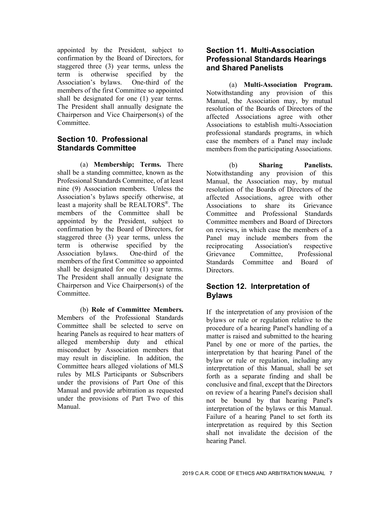appointed by the President, subject to confirmation by the Board of Directors, for staggered three (3) year terms, unless the term is otherwise specified by the Association's bylaws. One-third of the members of the first Committee so appointed shall be designated for one (1) year terms. The President shall annually designate the Chairperson and Vice Chairperson(s) of the Committee.

## **Section 10. Professional Standards Committee**

(a) **Membership; Terms.** There shall be a standing committee, known as the Professional Standards Committee, of at least nine (9) Association members. Unless the Association's bylaws specify otherwise, at least a majority shall be REALTORS®. The members of the Committee shall be appointed by the President, subject to confirmation by the Board of Directors, for staggered three (3) year terms, unless the term is otherwise specified by the Association bylaws. One-third of the members of the first Committee so appointed shall be designated for one (1) year terms. The President shall annually designate the Chairperson and Vice Chairperson(s) of the Committee.

(b) **Role of Committee Members.**  Members of the Professional Standards Committee shall be selected to serve on hearing Panels as required to hear matters of alleged membership duty and ethical misconduct by Association members that may result in discipline. In addition, the Committee hears alleged violations of MLS rules by MLS Participants or Subscribers under the provisions of Part One of this Manual and provide arbitration as requested under the provisions of Part Two of this Manual.

## **Section 11. Multi-Association Professional Standards Hearings and Shared Panelists**

(a) **Multi-Association Program.**  Notwithstanding any provision of this Manual, the Association may, by mutual resolution of the Boards of Directors of the affected Associations agree with other Associations to establish multi-Association professional standards programs, in which case the members of a Panel may include members from the participating Associations.

(b) **Sharing Panelists.**  Notwithstanding any provision of this Manual, the Association may, by mutual resolution of the Boards of Directors of the affected Associations, agree with other Associations to share its Grievance Committee and Professional Standards Committee members and Board of Directors on reviews, in which case the members of a Panel may include members from the reciprocating Association's respective Grievance Committee, Professional Standards Committee and Board of Directors.

# **Section 12. Interpretation of Bylaws**

If the interpretation of any provision of the bylaws or rule or regulation relative to the procedure of a hearing Panel's handling of a matter is raised and submitted to the hearing Panel by one or more of the parties, the interpretation by that hearing Panel of the bylaw or rule or regulation, including any interpretation of this Manual, shall be set forth as a separate finding and shall be conclusive and final, except that the Directors on review of a hearing Panel's decision shall not be bound by that hearing Panel's interpretation of the bylaws or this Manual. Failure of a hearing Panel to set forth its interpretation as required by this Section shall not invalidate the decision of the hearing Panel.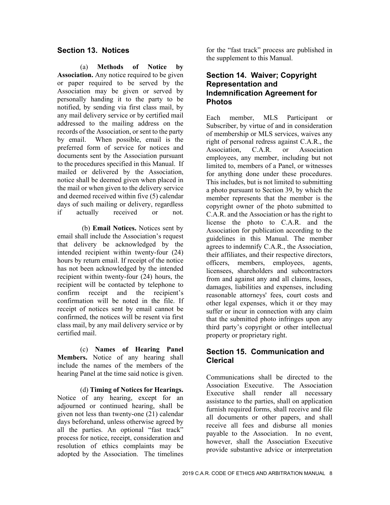# **Section 13. Notices**

(a) **Methods of Notice by Association.** Any notice required to be given or paper required to be served by the Association may be given or served by personally handing it to the party to be notified, by sending via first class mail, by any mail delivery service or by certified mail addressed to the mailing address on the records of the Association, or sent to the party by email. When possible, email is the preferred form of service for notices and documents sent by the Association pursuant to the procedures specified in this Manual. If mailed or delivered by the Association, notice shall be deemed given when placed in the mail or when given to the delivery service and deemed received within five (5) calendar days of such mailing or delivery, regardless if actually received or not.

 (b) **Email Notices.** Notices sent by email shall include the Association's request that delivery be acknowledged by the intended recipient within twenty-four (24) hours by return email. If receipt of the notice has not been acknowledged by the intended recipient within twenty-four (24) hours, the recipient will be contacted by telephone to confirm receipt and the recipient's confirmation will be noted in the file. If receipt of notices sent by email cannot be confirmed, the notices will be resent via first class mail, by any mail delivery service or by certified mail.

(c) **Names of Hearing Panel Members.** Notice of any hearing shall include the names of the members of the hearing Panel at the time said notice is given.

(d) **Timing of Notices for Hearings.**  Notice of any hearing, except for an adjourned or continued hearing, shall be given not less than twenty-one (21) calendar days beforehand, unless otherwise agreed by all the parties. An optional "fast track" process for notice, receipt, consideration and resolution of ethics complaints may be adopted by the Association. The timelines

for the "fast track" process are published in the supplement to this Manual.

## **Section 14. Waiver; Copyright Representation and Indemnification Agreement for Photos**

Each member, MLS Participant or Subscriber, by virtue of and in consideration of membership or MLS services, waives any right of personal redress against C.A.R., the Association, C.A.R. or Association employees, any member, including but not limited to, members of a Panel, or witnesses for anything done under these procedures. This includes, but is not limited to submitting a photo pursuant to Section 39, by which the member represents that the member is the copyright owner of the photo submitted to C.A.R. and the Association or has the right to license the photo to C.A.R. and the Association for publication according to the guidelines in this Manual. The member agrees to indemnify C.A.R., the Association, their affiliates, and their respective directors, officers, members, employees, agents, licensees, shareholders and subcontractors from and against any and all claims, losses, damages, liabilities and expenses, including reasonable attorneys' fees, court costs and other legal expenses, which it or they may suffer or incur in connection with any claim that the submitted photo infringes upon any third party's copyright or other intellectual property or proprietary right.

# **Section 15. Communication and Clerical**

Communications shall be directed to the Association Executive. The Association Executive shall render all necessary assistance to the parties, shall on application furnish required forms, shall receive and file all documents or other papers, and shall receive all fees and disburse all monies payable to the Association. In no event, however, shall the Association Executive provide substantive advice or interpretation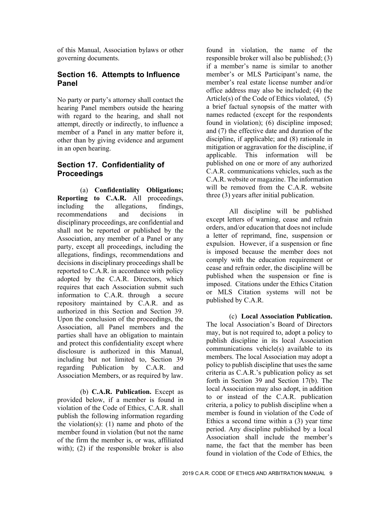of this Manual, Association bylaws or other governing documents.

#### **Section 16. Attempts to Influence Panel**

No party or party's attorney shall contact the hearing Panel members outside the hearing with regard to the hearing, and shall not attempt, directly or indirectly, to influence a member of a Panel in any matter before it, other than by giving evidence and argument in an open hearing.

# **Section 17. Confidentiality of Proceedings**

(a) **Confidentiality Obligations; Reporting to C.A.R.** All proceedings, including the allegations, findings, recommendations and decisions in disciplinary proceedings, are confidential and shall not be reported or published by the Association, any member of a Panel or any party, except all proceedings, including the allegations, findings, recommendations and decisions in disciplinary proceedings shall be reported to C.A.R. in accordance with policy adopted by the C.A.R. Directors, which requires that each Association submit such information to C.A.R. through a secure repository maintained by C.A.R. and as authorized in this Section and Section 39. Upon the conclusion of the proceedings, the Association, all Panel members and the parties shall have an obligation to maintain and protect this confidentiality except where disclosure is authorized in this Manual, including but not limited to, Section 39 regarding Publication by C.A.R. and Association Members, or as required by law.

(b) **C.A.R. Publication.** Except as provided below, if a member is found in violation of the Code of Ethics, C.A.R. shall publish the following information regarding the violation(s): (1) name and photo of the member found in violation (but not the name of the firm the member is, or was, affiliated with); (2) if the responsible broker is also

found in violation, the name of the responsible broker will also be published; (3) if a member's name is similar to another member's or MLS Participant's name, the member's real estate license number and/or office address may also be included; (4) the Article(s) of the Code of Ethics violated, (5) a brief factual synopsis of the matter with names redacted (except for the respondents found in violation); (6) discipline imposed; and (7) the effective date and duration of the discipline, if applicable; and (8) rationale in mitigation or aggravation for the discipline, if applicable. This information will be published on one or more of any authorized C.A.R. communications vehicles, such as the C.A.R. website or magazine. The information will be removed from the C.A.R. website three (3) years after initial publication.

All discipline will be published except letters of warning, cease and refrain orders, and/or education that does not include a letter of reprimand, fine, suspension or expulsion. However, if a suspension or fine is imposed because the member does not comply with the education requirement or cease and refrain order, the discipline will be published when the suspension or fine is imposed. Citations under the Ethics Citation or MLS Citation systems will not be published by C.A.R.

(c) **Local Association Publication.**  The local Association's Board of Directors may, but is not required to, adopt a policy to publish discipline in its local Association communications vehicle(s) available to its members. The local Association may adopt a policy to publish discipline that uses the same criteria as C.A.R.'s publication policy as set forth in Section 39 and Section 17(b). The local Association may also adopt, in addition to or instead of the C.A.R. publication criteria, a policy to publish discipline when a member is found in violation of the Code of Ethics a second time within a (3) year time period. Any discipline published by a local Association shall include the member's name, the fact that the member has been found in violation of the Code of Ethics, the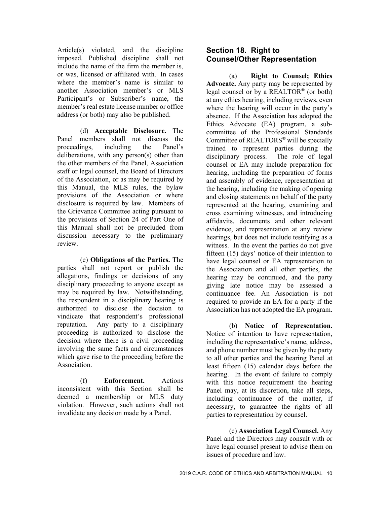Article(s) violated, and the discipline imposed. Published discipline shall not include the name of the firm the member is, or was, licensed or affiliated with. In cases where the member's name is similar to another Association member's or MLS Participant's or Subscriber's name, the member's real estate license number or office address (or both) may also be published.

(d) **Acceptable Disclosure.** The Panel members shall not discuss the proceedings, including the Panel's deliberations, with any person(s) other than the other members of the Panel, Association staff or legal counsel, the Board of Directors of the Association, or as may be required by this Manual, the MLS rules, the bylaw provisions of the Association or where disclosure is required by law. Members of the Grievance Committee acting pursuant to the provisions of Section 24 of Part One of this Manual shall not be precluded from discussion necessary to the preliminary review.

(e) **Obligations of the Parties.** The parties shall not report or publish the allegations, findings or decisions of any disciplinary proceeding to anyone except as may be required by law. Notwithstanding, the respondent in a disciplinary hearing is authorized to disclose the decision to vindicate that respondent's professional reputation. Any party to a disciplinary proceeding is authorized to disclose the decision where there is a civil proceeding involving the same facts and circumstances which gave rise to the proceeding before the Association.

(f) **Enforcement.** Actions inconsistent with this Section shall be deemed a membership or MLS duty violation. However, such actions shall not invalidate any decision made by a Panel.

## **Section 18. Right to Counsel/Other Representation**

(a) **Right to Counsel; Ethics Advocate.** Any party may be represented by legal counsel or by a REALTOR<sup>®</sup> (or both) at any ethics hearing, including reviews, even where the hearing will occur in the party's absence. If the Association has adopted the Ethics Advocate (EA) program, a subcommittee of the Professional Standards Committee of REALTORS® will be specially trained to represent parties during the disciplinary process. The role of legal counsel or EA may include preparation for hearing, including the preparation of forms and assembly of evidence, representation at the hearing, including the making of opening and closing statements on behalf of the party represented at the hearing, examining and cross examining witnesses, and introducing affidavits, documents and other relevant evidence, and representation at any review hearings, but does not include testifying as a witness. In the event the parties do not give fifteen (15) days' notice of their intention to have legal counsel or EA representation to the Association and all other parties, the hearing may be continued, and the party giving late notice may be assessed a continuance fee. An Association is not required to provide an EA for a party if the Association has not adopted the EA program.

(b) **Notice of Representation.**  Notice of intention to have representation, including the representative's name, address, and phone number must be given by the party to all other parties and the hearing Panel at least fifteen (15) calendar days before the hearing. In the event of failure to comply with this notice requirement the hearing Panel may, at its discretion, take all steps, including continuance of the matter, if necessary, to guarantee the rights of all parties to representation by counsel.

(c) **Association Legal Counsel.** Any Panel and the Directors may consult with or have legal counsel present to advise them on issues of procedure and law.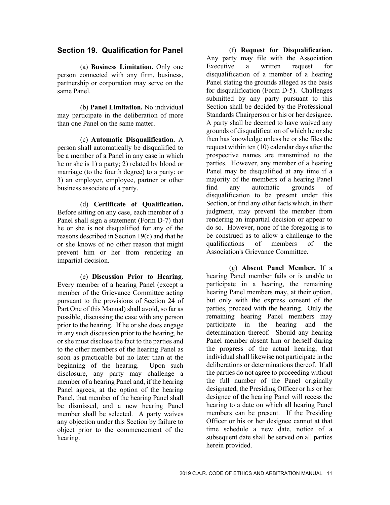#### **Section 19. Qualification for Panel**

(a) **Business Limitation.** Only one person connected with any firm, business, partnership or corporation may serve on the same Panel.

(b) **Panel Limitation.** No individual may participate in the deliberation of more than one Panel on the same matter.

(c) **Automatic Disqualification.** A person shall automatically be disqualified to be a member of a Panel in any case in which he or she is 1) a party; 2) related by blood or marriage (to the fourth degree) to a party; or 3) an employer, employee, partner or other business associate of a party.

(d) **Certificate of Qualification.**  Before sitting on any case, each member of a Panel shall sign a statement (Form D-7) that he or she is not disqualified for any of the reasons described in Section 19(c) and that he or she knows of no other reason that might prevent him or her from rendering an impartial decision.

(e) **Discussion Prior to Hearing.**  Every member of a hearing Panel (except a member of the Grievance Committee acting pursuant to the provisions of Section 24 of Part One of this Manual) shall avoid, so far as possible, discussing the case with any person prior to the hearing. If he or she does engage in any such discussion prior to the hearing, he or she must disclose the fact to the parties and to the other members of the hearing Panel as soon as practicable but no later than at the beginning of the hearing. Upon such disclosure, any party may challenge a member of a hearing Panel and, if the hearing Panel agrees, at the option of the hearing Panel, that member of the hearing Panel shall be dismissed, and a new hearing Panel member shall be selected. A party waives any objection under this Section by failure to object prior to the commencement of the hearing.

(f) **Request for Disqualification.**  Any party may file with the Association Executive a written request for disqualification of a member of a hearing Panel stating the grounds alleged as the basis for disqualification (Form D-5). Challenges submitted by any party pursuant to this Section shall be decided by the Professional Standards Chairperson or his or her designee. A party shall be deemed to have waived any grounds of disqualification of which he or she then has knowledge unless he or she files the request within ten (10) calendar days after the prospective names are transmitted to the parties. However, any member of a hearing Panel may be disqualified at any time if a majority of the members of a hearing Panel find any automatic grounds of disqualification to be present under this Section, or find any other facts which, in their judgment, may prevent the member from rendering an impartial decision or appear to do so. However, none of the foregoing is to be construed as to allow a challenge to the qualifications of members of the Association's Grievance Committee.

(g) **Absent Panel Member.** If a hearing Panel member fails or is unable to participate in a hearing, the remaining hearing Panel members may, at their option, but only with the express consent of the parties, proceed with the hearing. Only the remaining hearing Panel members may participate in the hearing and the determination thereof. Should any hearing Panel member absent him or herself during the progress of the actual hearing, that individual shall likewise not participate in the deliberations or determinations thereof. If all the parties do not agree to proceeding without the full number of the Panel originally designated, the Presiding Officer or his or her designee of the hearing Panel will recess the hearing to a date on which all hearing Panel members can be present. If the Presiding Officer or his or her designee cannot at that time schedule a new date, notice of a subsequent date shall be served on all parties herein provided.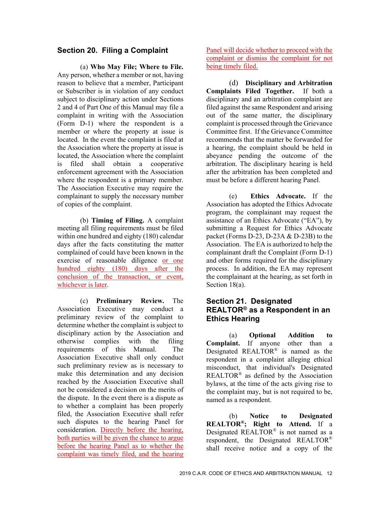## **Section 20. Filing a Complaint**

(a) **Who May File; Where to File.**  Any person, whether a member or not, having reason to believe that a member, Participant or Subscriber is in violation of any conduct subject to disciplinary action under Sections 2 and 4 of Part One of this Manual may file a complaint in writing with the Association (Form D-1) where the respondent is a member or where the property at issue is located. In the event the complaint is filed at the Association where the property at issue is located, the Association where the complaint is filed shall obtain a cooperative enforcement agreement with the Association where the respondent is a primary member. The Association Executive may require the complainant to supply the necessary number of copies of the complaint.

(b) **Timing of Filing.** A complaint meeting all filing requirements must be filed within one hundred and eighty (180) calendar days after the facts constituting the matter complained of could have been known in the exercise of reasonable diligence or one hundred eighty (180) days after the conclusion of the transaction, or event, whichever is later.

(c) **Preliminary Review.** The Association Executive may conduct a preliminary review of the complaint to determine whether the complaint is subject to disciplinary action by the Association and otherwise complies with the filing requirements of this Manual. The Association Executive shall only conduct such preliminary review as is necessary to make this determination and any decision reached by the Association Executive shall not be considered a decision on the merits of the dispute. In the event there is a dispute as to whether a complaint has been properly filed, the Association Executive shall refer such disputes to the hearing Panel for consideration. Directly before the hearing, both parties will be given the chance to argue before the hearing Panel as to whether the complaint was timely filed, and the hearing

Panel will decide whether to proceed with the complaint or dismiss the complaint for not being timely filed.

(d) **Disciplinary and Arbitration Complaints Filed Together.** If both a disciplinary and an arbitration complaint are filed against the same Respondent and arising out of the same matter, the disciplinary complaint is processed through the Grievance Committee first. If the Grievance Committee recommends that the matter be forwarded for a hearing, the complaint should be held in abeyance pending the outcome of the arbitration. The disciplinary hearing is held after the arbitration has been completed and must be before a different hearing Panel.

(e) **Ethics Advocate.** If the Association has adopted the Ethics Advocate program, the complainant may request the assistance of an Ethics Advocate ("EA"), by submitting a Request for Ethics Advocate packet (Forms D-23, D-23A & D-23B) to the Association. The EA is authorized to help the complainant draft the Complaint (Form D-1) and other forms required for the disciplinary process. In addition, the EA may represent the complainant at the hearing, as set forth in Section 18(a).

## **Section 21. Designated REALTOR® as a Respondent in an Ethics Hearing**

(a) **Optional Addition to Complaint.** If anyone other than a Designated REALTOR® is named as the respondent in a complaint alleging ethical misconduct, that individual's Designated REALTOR® as defined by the Association bylaws, at the time of the acts giving rise to the complaint may, but is not required to be, named as a respondent.

(b) **Notice to Designated REALTOR®; Right to Attend.** If a Designated REALTOR® is not named as a respondent, the Designated REALTOR® shall receive notice and a copy of the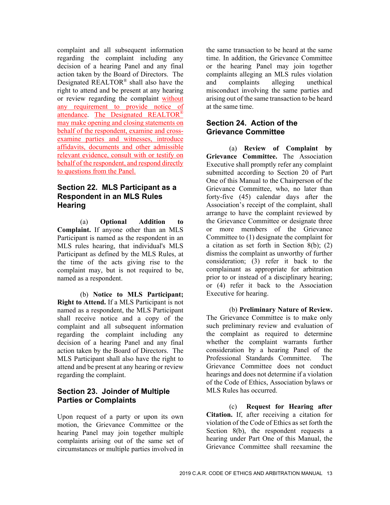complaint and all subsequent information regarding the complaint including any decision of a hearing Panel and any final action taken by the Board of Directors. The Designated REALTOR® shall also have the right to attend and be present at any hearing or review regarding the complaint without any requirement to provide notice of attendance. The Designated REALTOR® may make opening and closing statements on behalf of the respondent, examine and crossexamine parties and witnesses, introduce affidavits, documents and other admissible relevant evidence, consult with or testify on behalf of the respondent, and respond directly to questions from the Panel.

# **Section 22. MLS Participant as a Respondent in an MLS Rules Hearing**

(a) **Optional Addition to Complaint.** If anyone other than an MLS Participant is named as the respondent in an MLS rules hearing, that individual's MLS Participant as defined by the MLS Rules, at the time of the acts giving rise to the complaint may, but is not required to be, named as a respondent.

(b) **Notice to MLS Participant; Right to Attend.** If a MLS Participant is not named as a respondent, the MLS Participant shall receive notice and a copy of the complaint and all subsequent information regarding the complaint including any decision of a hearing Panel and any final action taken by the Board of Directors. The MLS Participant shall also have the right to attend and be present at any hearing or review regarding the complaint.

# **Section 23. Joinder of Multiple Parties or Complaints**

Upon request of a party or upon its own motion, the Grievance Committee or the hearing Panel may join together multiple complaints arising out of the same set of circumstances or multiple parties involved in

the same transaction to be heard at the same time. In addition, the Grievance Committee or the hearing Panel may join together complaints alleging an MLS rules violation and complaints alleging unethical misconduct involving the same parties and arising out of the same transaction to be heard at the same time.

## **Section 24. Action of the Grievance Committee**

(a) **Review of Complaint by Grievance Committee.** The Association Executive shall promptly refer any complaint submitted according to Section 20 of Part One of this Manual to the Chairperson of the Grievance Committee, who, no later than forty-five (45) calendar days after the Association's receipt of the complaint, shall arrange to have the complaint reviewed by the Grievance Committee or designate three or more members of the Grievance Committee to (1) designate the complaint for a citation as set forth in Section 8(b); (2) dismiss the complaint as unworthy of further consideration; (3) refer it back to the complainant as appropriate for arbitration prior to or instead of a disciplinary hearing; or (4) refer it back to the Association Executive for hearing.

(b) **Preliminary Nature of Review.**  The Grievance Committee is to make only such preliminary review and evaluation of the complaint as required to determine whether the complaint warrants further consideration by a hearing Panel of the Professional Standards Committee. The Grievance Committee does not conduct hearings and does not determine if a violation of the Code of Ethics, Association bylaws or MLS Rules has occurred.

(c) **Request for Hearing after Citation.** If, after receiving a citation for violation of the Code of Ethics as set forth the Section 8(b), the respondent requests a hearing under Part One of this Manual, the Grievance Committee shall reexamine the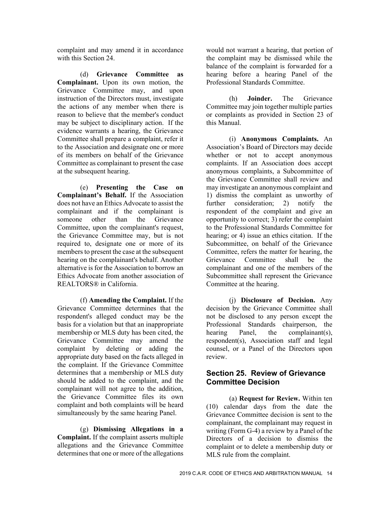complaint and may amend it in accordance with this Section 24.

(d) **Grievance Committee as Complainant.** Upon its own motion, the Grievance Committee may, and upon instruction of the Directors must, investigate the actions of any member when there is reason to believe that the member's conduct may be subject to disciplinary action. If the evidence warrants a hearing, the Grievance Committee shall prepare a complaint, refer it to the Association and designate one or more of its members on behalf of the Grievance Committee as complainant to present the case at the subsequent hearing.

(e) **Presenting the Case on Complainant's Behalf.** If the Association does not have an Ethics Advocate to assist the complainant and if the complainant is someone other than the Grievance Committee, upon the complainant's request, the Grievance Committee may, but is not required to, designate one or more of its members to present the case at the subsequent hearing on the complainant's behalf. Another alternative is for the Association to borrow an Ethics Advocate from another association of REALTORS® in California.

(f) **Amending the Complaint.** If the Grievance Committee determines that the respondent's alleged conduct may be the basis for a violation but that an inappropriate membership or MLS duty has been cited, the Grievance Committee may amend the complaint by deleting or adding the appropriate duty based on the facts alleged in the complaint. If the Grievance Committee determines that a membership or MLS duty should be added to the complaint, and the complainant will not agree to the addition, the Grievance Committee files its own complaint and both complaints will be heard simultaneously by the same hearing Panel.

(g) **Dismissing Allegations in a Complaint.** If the complaint asserts multiple allegations and the Grievance Committee determines that one or more of the allegations

would not warrant a hearing, that portion of the complaint may be dismissed while the balance of the complaint is forwarded for a hearing before a hearing Panel of the Professional Standards Committee.

(h) **Joinder.** The Grievance Committee may join together multiple parties or complaints as provided in Section 23 of this Manual.

(i) **Anonymous Complaints.** An Association's Board of Directors may decide whether or not to accept anonymous complaints. If an Association does accept anonymous complaints, a Subcommittee of the Grievance Committee shall review and may investigate an anonymous complaint and 1) dismiss the complaint as unworthy of further consideration; 2) notify the respondent of the complaint and give an opportunity to correct; 3) refer the complaint to the Professional Standards Committee for hearing; or 4) issue an ethics citation. If the Subcommittee, on behalf of the Grievance Committee, refers the matter for hearing, the Grievance Committee shall be the complainant and one of the members of the Subcommittee shall represent the Grievance Committee at the hearing.

(j) **Disclosure of Decision.** Any decision by the Grievance Committee shall not be disclosed to any person except the Professional Standards chairperson, the hearing Panel, the complainant(s), respondent(s), Association staff and legal counsel, or a Panel of the Directors upon review.

## **Section 25. Review of Grievance Committee Decision**

(a) **Request for Review.** Within ten (10) calendar days from the date the Grievance Committee decision is sent to the complainant, the complainant may request in writing (Form G-4) a review by a Panel of the Directors of a decision to dismiss the complaint or to delete a membership duty or MLS rule from the complaint.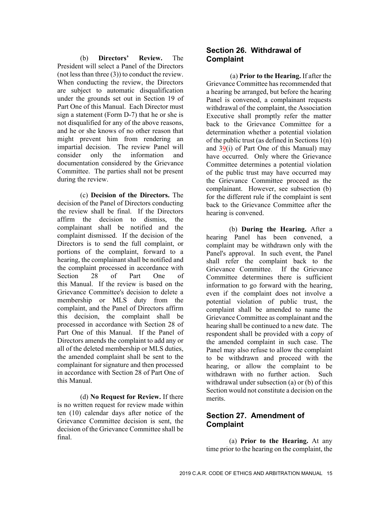(b) **Directors' Review.** The President will select a Panel of the Directors (not less than three (3)) to conduct the review. When conducting the review, the Directors are subject to automatic disqualification under the grounds set out in Section 19 of Part One of this Manual. Each Director must sign a statement (Form D-7) that he or she is not disqualified for any of the above reasons, and he or she knows of no other reason that might prevent him from rendering an impartial decision. The review Panel will consider only the information and documentation considered by the Grievance Committee. The parties shall not be present during the review.

(c) **Decision of the Directors.** The decision of the Panel of Directors conducting the review shall be final. If the Directors affirm the decision to dismiss, the complainant shall be notified and the complaint dismissed. If the decision of the Directors is to send the full complaint, or portions of the complaint, forward to a hearing, the complainant shall be notified and the complaint processed in accordance with Section 28 of Part One of this Manual. If the review is based on the Grievance Committee's decision to delete a membership or MLS duty from the complaint, and the Panel of Directors affirm this decision, the complaint shall be processed in accordance with Section 28 of Part One of this Manual. If the Panel of Directors amends the complaint to add any or all of the deleted membership or MLS duties, the amended complaint shall be sent to the complainant for signature and then processed in accordance with Section 28 of Part One of this Manual.

(d) **No Request for Review.** If there is no written request for review made within ten (10) calendar days after notice of the Grievance Committee decision is sent, the decision of the Grievance Committee shall be final.

## **Section 26. Withdrawal of Complaint**

(a) **Prior to the Hearing.** If after the Grievance Committee has recommended that a hearing be arranged, but before the hearing Panel is convened, a complainant requests withdrawal of the complaint, the Association Executive shall promptly refer the matter back to the Grievance Committee for a determination whether a potential violation of the public trust (as defined in Sections 1(n) and 39(i) of Part One of this Manual) may have occurred. Only where the Grievance Committee determines a potential violation of the public trust may have occurred may the Grievance Committee proceed as the complainant. However, see subsection (b) for the different rule if the complaint is sent back to the Grievance Committee after the hearing is convened.

(b) **During the Hearing.** After a hearing Panel has been convened, a complaint may be withdrawn only with the Panel's approval. In such event, the Panel shall refer the complaint back to the Grievance Committee. If the Grievance Committee determines there is sufficient information to go forward with the hearing, even if the complaint does not involve a potential violation of public trust, the complaint shall be amended to name the Grievance Committee as complainant and the hearing shall be continued to a new date. The respondent shall be provided with a copy of the amended complaint in such case. The Panel may also refuse to allow the complaint to be withdrawn and proceed with the hearing, or allow the complaint to be withdrawn with no further action. Such withdrawal under subsection (a) or (b) of this Section would not constitute a decision on the merits.

## **Section 27. Amendment of Complaint**

(a) **Prior to the Hearing.** At any time prior to the hearing on the complaint, the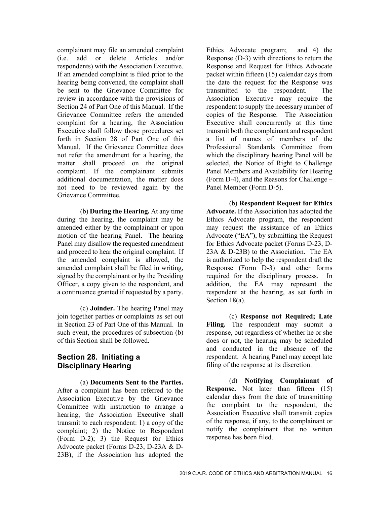complainant may file an amended complaint (i.e. add or delete Articles and/or respondents) with the Association Executive. If an amended complaint is filed prior to the hearing being convened, the complaint shall be sent to the Grievance Committee for review in accordance with the provisions of Section 24 of Part One of this Manual. If the Grievance Committee refers the amended complaint for a hearing, the Association Executive shall follow those procedures set forth in Section 28 of Part One of this Manual. If the Grievance Committee does not refer the amendment for a hearing, the matter shall proceed on the original complaint. If the complainant submits additional documentation, the matter does not need to be reviewed again by the Grievance Committee.

(b) **During the Hearing.** At any time during the hearing, the complaint may be amended either by the complainant or upon motion of the hearing Panel. The hearing Panel may disallow the requested amendment and proceed to hear the original complaint. If the amended complaint is allowed, the amended complaint shall be filed in writing, signed by the complainant or by the Presiding Officer, a copy given to the respondent, and a continuance granted if requested by a party.

(c) **Joinder.** The hearing Panel may join together parties or complaints as set out in Section 23 of Part One of this Manual. In such event, the procedures of subsection (b) of this Section shall be followed.

# **Section 28. Initiating a Disciplinary Hearing**

(a) **Documents Sent to the Parties.**  After a complaint has been referred to the Association Executive by the Grievance Committee with instruction to arrange a hearing, the Association Executive shall transmit to each respondent: 1) a copy of the complaint; 2) the Notice to Respondent (Form D-2); 3) the Request for Ethics Advocate packet (Forms D-23, D-23A & D-23B), if the Association has adopted the

Ethics Advocate program; and 4) the Response (D-3) with directions to return the Response and Request for Ethics Advocate packet within fifteen (15) calendar days from the date the request for the Response was transmitted to the respondent. The Association Executive may require the respondent to supply the necessary number of copies of the Response. The Association Executive shall concurrently at this time transmit both the complainant and respondent a list of names of members of the Professional Standards Committee from which the disciplinary hearing Panel will be selected, the Notice of Right to Challenge Panel Members and Availability for Hearing (Form D-4), and the Reasons for Challenge – Panel Member (Form D-5).

(b) **Respondent Request for Ethics Advocate.** If the Association has adopted the Ethics Advocate program, the respondent may request the assistance of an Ethics Advocate ("EA"), by submitting the Request for Ethics Advocate packet (Forms D-23, D-23A & D-23B) to the Association. The EA is authorized to help the respondent draft the Response (Form D-3) and other forms required for the disciplinary process. In addition, the EA may represent the respondent at the hearing, as set forth in Section 18(a).

(c) **Response not Required; Late**  Filing. The respondent may submit a response, but regardless of whether he or she does or not, the hearing may be scheduled and conducted in the absence of the respondent. A hearing Panel may accept late filing of the response at its discretion.

(d) **Notifying Complainant of Response.** Not later than fifteen (15) calendar days from the date of transmitting the complaint to the respondent, the Association Executive shall transmit copies of the response, if any, to the complainant or notify the complainant that no written response has been filed.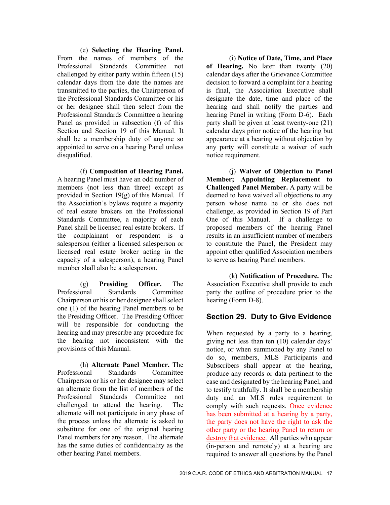(e) **Selecting the Hearing Panel.**  From the names of members of the Professional Standards Committee not challenged by either party within fifteen (15) calendar days from the date the names are transmitted to the parties, the Chairperson of the Professional Standards Committee or his or her designee shall then select from the Professional Standards Committee a hearing Panel as provided in subsection (f) of this Section and Section 19 of this Manual. It shall be a membership duty of anyone so appointed to serve on a hearing Panel unless disqualified.

(f) **Composition of Hearing Panel.**  A hearing Panel must have an odd number of members (not less than three) except as provided in Section 19(g) of this Manual. If the Association's bylaws require a majority of real estate brokers on the Professional Standards Committee, a majority of each Panel shall be licensed real estate brokers. If the complainant or respondent is a salesperson (either a licensed salesperson or licensed real estate broker acting in the capacity of a salesperson), a hearing Panel member shall also be a salesperson.

(g) **Presiding Officer.** The Professional Standards Committee Chairperson or his or her designee shall select one (1) of the hearing Panel members to be the Presiding Officer. The Presiding Officer will be responsible for conducting the hearing and may prescribe any procedure for the hearing not inconsistent with the provisions of this Manual.

(h) **Alternate Panel Member.** The Professional Standards Committee Chairperson or his or her designee may select an alternate from the list of members of the Professional Standards Committee not challenged to attend the hearing. The alternate will not participate in any phase of the process unless the alternate is asked to substitute for one of the original hearing Panel members for any reason. The alternate has the same duties of confidentiality as the other hearing Panel members.

(i) **Notice of Date, Time, and Place of Hearing.** No later than twenty (20) calendar days after the Grievance Committee decision to forward a complaint for a hearing is final, the Association Executive shall designate the date, time and place of the hearing and shall notify the parties and hearing Panel in writing (Form D-6). Each party shall be given at least twenty-one (21) calendar days prior notice of the hearing but appearance at a hearing without objection by any party will constitute a waiver of such notice requirement.

(j) **Waiver of Objection to Panel Member; Appointing Replacement to Challenged Panel Member.** A party will be deemed to have waived all objections to any person whose name he or she does not challenge, as provided in Section 19 of Part One of this Manual. If a challenge to proposed members of the hearing Panel results in an insufficient number of members to constitute the Panel, the President may appoint other qualified Association members to serve as hearing Panel members.

(k) **Notification of Procedure.** The Association Executive shall provide to each party the outline of procedure prior to the hearing (Form D-8).

# **Section 29. Duty to Give Evidence**

When requested by a party to a hearing, giving not less than ten (10) calendar days' notice, or when summoned by any Panel to do so, members, MLS Participants and Subscribers shall appear at the hearing, produce any records or data pertinent to the case and designated by the hearing Panel, and to testify truthfully. It shall be a membership duty and an MLS rules requirement to comply with such requests. Once evidence has been submitted at a hearing by a party, the party does not have the right to ask the other party or the hearing Panel to return or destroy that evidence. All parties who appear (in-person and remotely) at a hearing are required to answer all questions by the Panel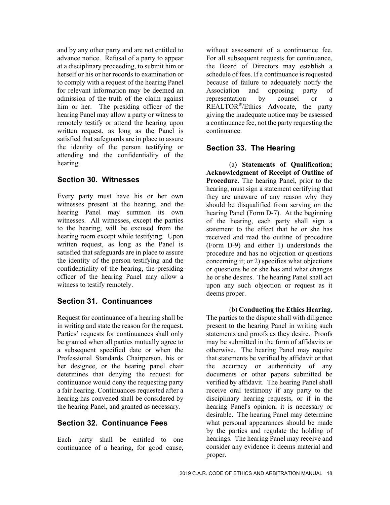and by any other party and are not entitled to advance notice. Refusal of a party to appear at a disciplinary proceeding, to submit him or herself or his or her records to examination or to comply with a request of the hearing Panel for relevant information may be deemed an admission of the truth of the claim against him or her. The presiding officer of the hearing Panel may allow a party or witness to remotely testify or attend the hearing upon written request, as long as the Panel is satisfied that safeguards are in place to assure the identity of the person testifying or attending and the confidentiality of the hearing.

#### **Section 30. Witnesses**

Every party must have his or her own witnesses present at the hearing, and the hearing Panel may summon its own witnesses. All witnesses, except the parties to the hearing, will be excused from the hearing room except while testifying. Upon written request, as long as the Panel is satisfied that safeguards are in place to assure the identity of the person testifying and the confidentiality of the hearing, the presiding officer of the hearing Panel may allow a witness to testify remotely.

# **Section 31. Continuances**

Request for continuance of a hearing shall be in writing and state the reason for the request. Parties' requests for continuances shall only be granted when all parties mutually agree to a subsequent specified date or when the Professional Standards Chairperson, his or her designee, or the hearing panel chair determines that denying the request for continuance would deny the requesting party a fair hearing. Continuances requested after a hearing has convened shall be considered by the hearing Panel, and granted as necessary.

#### **Section 32. Continuance Fees**

Each party shall be entitled to one continuance of a hearing, for good cause, without assessment of a continuance fee. For all subsequent requests for continuance, the Board of Directors may establish a schedule of fees. If a continuance is requested because of failure to adequately notify the Association and opposing party of representation by counsel or a REALTOR®/Ethics Advocate, the party giving the inadequate notice may be assessed a continuance fee, not the party requesting the continuance.

## **Section 33. The Hearing**

(a) **Statements of Qualification; Acknowledgment of Receipt of Outline of Procedure.** The hearing Panel, prior to the hearing, must sign a statement certifying that they are unaware of any reason why they should be disqualified from serving on the hearing Panel (Form D-7). At the beginning of the hearing, each party shall sign a statement to the effect that he or she has received and read the outline of procedure (Form D-9) and either 1) understands the procedure and has no objection or questions concerning it; or 2) specifies what objections or questions he or she has and what changes he or she desires. The hearing Panel shall act upon any such objection or request as it deems proper.

(b) **Conducting the Ethics Hearing.**  The parties to the dispute shall with diligence present to the hearing Panel in writing such statements and proofs as they desire. Proofs may be submitted in the form of affidavits or otherwise. The hearing Panel may require that statements be verified by affidavit or that the accuracy or authenticity of any documents or other papers submitted be verified by affidavit. The hearing Panel shall receive oral testimony if any party to the disciplinary hearing requests, or if in the hearing Panel's opinion, it is necessary or desirable. The hearing Panel may determine what personal appearances should be made by the parties and regulate the holding of hearings. The hearing Panel may receive and consider any evidence it deems material and proper.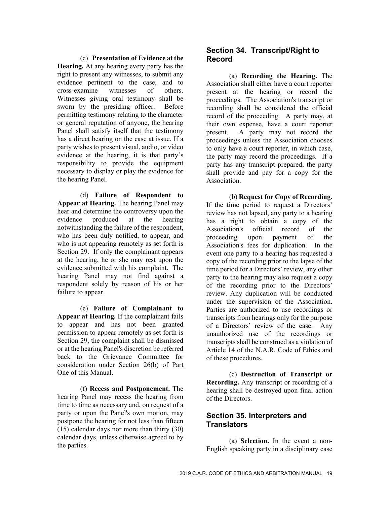(c) **Presentation of Evidence at the Hearing.** At any hearing every party has the right to present any witnesses, to submit any evidence pertinent to the case, and to cross-examine witnesses of others. Witnesses giving oral testimony shall be sworn by the presiding officer. Before permitting testimony relating to the character or general reputation of anyone, the hearing Panel shall satisfy itself that the testimony has a direct bearing on the case at issue. If a party wishes to present visual, audio, or video evidence at the hearing, it is that party's responsibility to provide the equipment necessary to display or play the evidence for the hearing Panel.

(d) **Failure of Respondent to Appear at Hearing.** The hearing Panel may hear and determine the controversy upon the evidence produced at the hearing notwithstanding the failure of the respondent, who has been duly notified, to appear, and who is not appearing remotely as set forth is Section 29. If only the complainant appears at the hearing, he or she may rest upon the evidence submitted with his complaint. The hearing Panel may not find against a respondent solely by reason of his or her failure to appear.

(e) **Failure of Complainant to Appear at Hearing.** If the complainant fails to appear and has not been granted permission to appear remotely as set forth is Section 29, the complaint shall be dismissed or at the hearing Panel's discretion be referred back to the Grievance Committee for consideration under Section 26(b) of Part One of this Manual.

(f) **Recess and Postponement.** The hearing Panel may recess the hearing from time to time as necessary and, on request of a party or upon the Panel's own motion, may postpone the hearing for not less than fifteen (15) calendar days nor more than thirty (30) calendar days, unless otherwise agreed to by the parties.

# **Section 34. Transcript/Right to Record**

(a) **Recording the Hearing.** The Association shall either have a court reporter present at the hearing or record the proceedings. The Association's transcript or recording shall be considered the official record of the proceeding. A party may, at their own expense, have a court reporter present. A party may not record the proceedings unless the Association chooses to only have a court reporter, in which case, the party may record the proceedings. If a party has any transcript prepared, the party shall provide and pay for a copy for the Association.

 (b) **Request for Copy of Recording.**  If the time period to request a Directors' review has not lapsed, any party to a hearing has a right to obtain a copy of the Association's official record of the proceeding upon payment of the Association's fees for duplication. In the event one party to a hearing has requested a copy of the recording prior to the lapse of the time period for a Directors' review, any other party to the hearing may also request a copy of the recording prior to the Directors' review. Any duplication will be conducted under the supervision of the Association. Parties are authorized to use recordings or transcripts from hearings only for the purpose of a Directors' review of the case. Any unauthorized use of the recordings or transcripts shall be construed as a violation of Article 14 of the N.A.R. Code of Ethics and of these procedures.

(c) **Destruction of Transcript or Recording.** Any transcript or recording of a hearing shall be destroyed upon final action of the Directors.

## **Section 35. Interpreters and Translators**

(a) **Selection.** In the event a non-English speaking party in a disciplinary case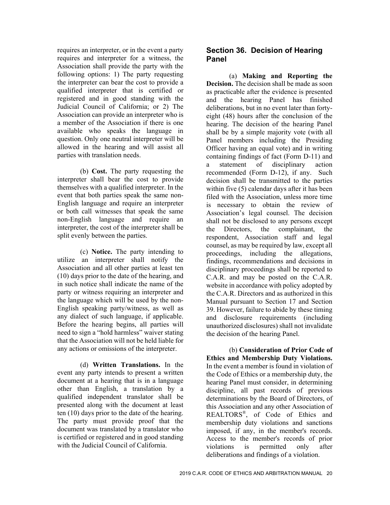requires an interpreter, or in the event a party requires and interpreter for a witness, the Association shall provide the party with the following options: 1) The party requesting the interpreter can bear the cost to provide a qualified interpreter that is certified or registered and in good standing with the Judicial Council of California; or 2) The Association can provide an interpreter who is a member of the Association if there is one available who speaks the language in question. Only one neutral interpreter will be allowed in the hearing and will assist all parties with translation needs.

(b) **Cost.** The party requesting the interpreter shall bear the cost to provide themselves with a qualified interpreter. In the event that both parties speak the same non-English language and require an interpreter or both call witnesses that speak the same non-English language and require an interpreter, the cost of the interpreter shall be split evenly between the parties.

(c) **Notice.** The party intending to utilize an interpreter shall notify the Association and all other parties at least ten (10) days prior to the date of the hearing, and in such notice shall indicate the name of the party or witness requiring an interpreter and the language which will be used by the non-English speaking party/witness, as well as any dialect of such language, if applicable. Before the hearing begins, all parties will need to sign a "hold harmless" waiver stating that the Association will not be held liable for any actions or omissions of the interpreter.

(d) **Written Translations.** In the event any party intends to present a written document at a hearing that is in a language other than English, a translation by a qualified independent translator shall be presented along with the document at least ten (10) days prior to the date of the hearing. The party must provide proof that the document was translated by a translator who is certified or registered and in good standing with the Judicial Council of California.

# **Section 36. Decision of Hearing Panel**

(a) **Making and Reporting the Decision.** The decision shall be made as soon as practicable after the evidence is presented and the hearing Panel has finished deliberations, but in no event later than fortyeight (48) hours after the conclusion of the hearing. The decision of the hearing Panel shall be by a simple majority vote (with all Panel members including the Presiding Officer having an equal vote) and in writing containing findings of fact (Form D-11) and a statement of disciplinary action recommended (Form D-12), if any. Such decision shall be transmitted to the parties within five (5) calendar days after it has been filed with the Association, unless more time is necessary to obtain the review of Association's legal counsel. The decision shall not be disclosed to any persons except the Directors, the complainant, the respondent, Association staff and legal counsel, as may be required by law, except all proceedings, including the allegations, findings, recommendations and decisions in disciplinary proceedings shall be reported to C.A.R. and may be posted on the C.A.R. website in accordance with policy adopted by the C.A.R. Directors and as authorized in this Manual pursuant to Section 17 and Section 39. However, failure to abide by these timing and disclosure requirements (including unauthorized disclosures) shall not invalidate the decision of the hearing Panel.

(b) **Consideration of Prior Code of Ethics and Membership Duty Violations.**  In the event a member is found in violation of the Code of Ethics or a membership duty, the hearing Panel must consider, in determining discipline, all past records of previous determinations by the Board of Directors, of this Association and any other Association of REALTORS®, of Code of Ethics and membership duty violations and sanctions imposed, if any, in the member's records. Access to the member's records of prior violations is permitted only after deliberations and findings of a violation.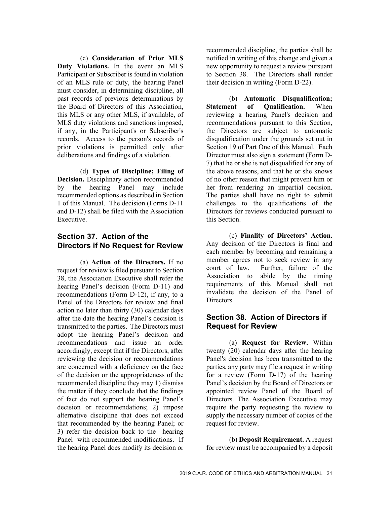(c) **Consideration of Prior MLS Duty Violations.** In the event an MLS Participant or Subscriber is found in violation of an MLS rule or duty, the hearing Panel must consider, in determining discipline, all past records of previous determinations by the Board of Directors of this Association, this MLS or any other MLS, if available, of MLS duty violations and sanctions imposed, if any, in the Participant's or Subscriber's records. Access to the person's records of prior violations is permitted only after deliberations and findings of a violation.

(d) **Types of Discipline; Filing of Decision.** Disciplinary action recommended by the hearing Panel may include recommended options as described in Section 1 of this Manual. The decision (Forms D-11 and D-12) shall be filed with the Association Executive.

# **Section 37. Action of the Directors if No Request for Review**

(a) **Action of the Directors.** If no request for review is filed pursuant to Section 38, the Association Executive shall refer the hearing Panel's decision (Form D-11) and recommendations (Form D-12), if any, to a Panel of the Directors for review and final action no later than thirty (30) calendar days after the date the hearing Panel's decision is transmitted to the parties. The Directors must adopt the hearing Panel's decision and recommendations and issue an order accordingly, except that if the Directors, after reviewing the decision or recommendations are concerned with a deficiency on the face of the decision or the appropriateness of the recommended discipline they may 1) dismiss the matter if they conclude that the findings of fact do not support the hearing Panel's decision or recommendations; 2) impose alternative discipline that does not exceed that recommended by the hearing Panel; or 3) refer the decision back to the hearing Panel with recommended modifications. If the hearing Panel does modify its decision or

recommended discipline, the parties shall be notified in writing of this change and given a new opportunity to request a review pursuant to Section 38. The Directors shall render their decision in writing (Form D-22).

(b) **Automatic Disqualification; Statement of Qualification.** When reviewing a hearing Panel's decision and recommendations pursuant to this Section, the Directors are subject to automatic disqualification under the grounds set out in Section 19 of Part One of this Manual. Each Director must also sign a statement (Form D-7) that he or she is not disqualified for any of the above reasons, and that he or she knows of no other reason that might prevent him or her from rendering an impartial decision. The parties shall have no right to submit challenges to the qualifications of the Directors for reviews conducted pursuant to this Section.

(c) **Finality of Directors' Action.**  Any decision of the Directors is final and each member by becoming and remaining a member agrees not to seek review in any court of law. Further, failure of the Association to abide by the timing requirements of this Manual shall not invalidate the decision of the Panel of Directors.

# **Section 38. Action of Directors if Request for Review**

(a) **Request for Review.** Within twenty (20) calendar days after the hearing Panel's decision has been transmitted to the parties, any party may file a request in writing for a review (Form D-17) of the hearing Panel's decision by the Board of Directors or appointed review Panel of the Board of Directors. The Association Executive may require the party requesting the review to supply the necessary number of copies of the request for review.

(b) **Deposit Requirement.** A request for review must be accompanied by a deposit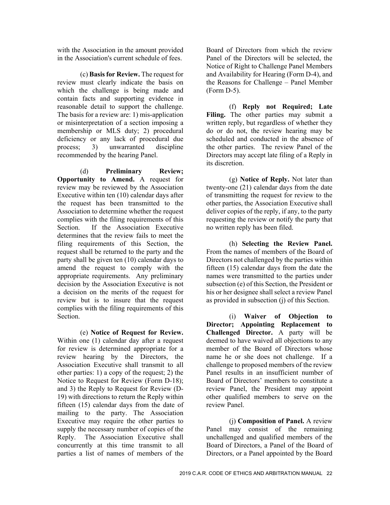with the Association in the amount provided in the Association's current schedule of fees.

(c) **Basis for Review.** The request for review must clearly indicate the basis on which the challenge is being made and contain facts and supporting evidence in reasonable detail to support the challenge. The basis for a review are: 1) mis-application or misinterpretation of a section imposing a membership or MLS duty; 2) procedural deficiency or any lack of procedural due<br>process; 3) unwarranted discipline process:  $3)$  unwarranted recommended by the hearing Panel.

(d) **Preliminary Review; Opportunity to Amend.** A request for review may be reviewed by the Association Executive within ten (10) calendar days after the request has been transmitted to the Association to determine whether the request complies with the filing requirements of this Section. If the Association Executive determines that the review fails to meet the filing requirements of this Section, the request shall be returned to the party and the party shall be given ten (10) calendar days to amend the request to comply with the appropriate requirements. Any preliminary decision by the Association Executive is not a decision on the merits of the request for review but is to insure that the request complies with the filing requirements of this Section.

(e) **Notice of Request for Review.**  Within one (1) calendar day after a request for review is determined appropriate for a review hearing by the Directors, the Association Executive shall transmit to all other parties: 1) a copy of the request; 2) the Notice to Request for Review (Form D-18); and 3) the Reply to Request for Review (D-19) with directions to return the Reply within fifteen (15) calendar days from the date of mailing to the party. The Association Executive may require the other parties to supply the necessary number of copies of the Reply. The Association Executive shall concurrently at this time transmit to all parties a list of names of members of the

Board of Directors from which the review Panel of the Directors will be selected, the Notice of Right to Challenge Panel Members and Availability for Hearing (Form D-4), and the Reasons for Challenge – Panel Member (Form D-5).

(f) **Reply not Required; Late Filing.** The other parties may submit a written reply, but regardless of whether they do or do not, the review hearing may be scheduled and conducted in the absence of the other parties. The review Panel of the Directors may accept late filing of a Reply in its discretion.

(g) **Notice of Reply.** Not later than twenty-one (21) calendar days from the date of transmitting the request for review to the other parties, the Association Executive shall deliver copies of the reply, if any, to the party requesting the review or notify the party that no written reply has been filed.

(h) **Selecting the Review Panel.**  From the names of members of the Board of Directors not challenged by the parties within fifteen (15) calendar days from the date the names were transmitted to the parties under subsection (e) of this Section, the President or his or her designee shall select a review Panel as provided in subsection (j) of this Section.

(i) **Waiver of Objection to Director; Appointing Replacement to Challenged Director.** A party will be deemed to have waived all objections to any member of the Board of Directors whose name he or she does not challenge. If a challenge to proposed members of the review Panel results in an insufficient number of Board of Directors' members to constitute a review Panel, the President may appoint other qualified members to serve on the review Panel.

(j) **Composition of Panel.** A review Panel may consist of the remaining unchallenged and qualified members of the Board of Directors, a Panel of the Board of Directors, or a Panel appointed by the Board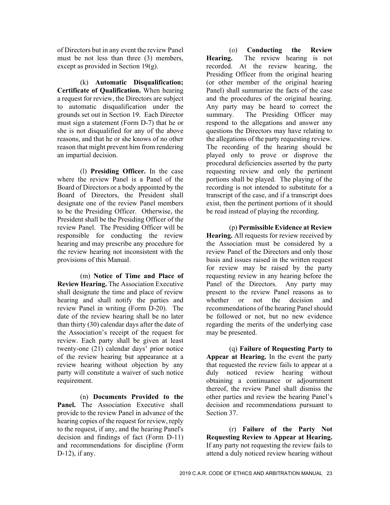of Directors but in any event the review Panel must be not less than three (3) members, except as provided in Section 19(g).

(k) **Automatic Disqualification; Certificate of Qualification.** When hearing a request for review, the Directors are subject to automatic disqualification under the grounds set out in Section 19. Each Director must sign a statement (Form D-7) that he or she is not disqualified for any of the above reasons, and that he or she knows of no other reason that might prevent him from rendering an impartial decision.

(l) **Presiding Officer.** In the case where the review Panel is a Panel of the Board of Directors or a body appointed by the Board of Directors, the President shall designate one of the review Panel members to be the Presiding Officer. Otherwise, the President shall be the Presiding Officer of the review Panel. The Presiding Officer will be responsible for conducting the review hearing and may prescribe any procedure for the review hearing not inconsistent with the provisions of this Manual.

(m) **Notice of Time and Place of Review Hearing.** The Association Executive shall designate the time and place of review hearing and shall notify the parties and review Panel in writing (Form D-20). The date of the review hearing shall be no later than thirty (30) calendar days after the date of the Association's receipt of the request for review. Each party shall be given at least twenty-one (21) calendar days' prior notice of the review hearing but appearance at a review hearing without objection by any party will constitute a waiver of such notice requirement.

(n) **Documents Provided to the Panel.** The Association Executive shall provide to the review Panel in advance of the hearing copies of the request for review, reply to the request, if any, and the hearing Panel's decision and findings of fact (Form D-11) and recommendations for discipline (Form D-12), if any.

(o) **Conducting the Review Hearing.** The review hearing is not recorded. At the review hearing, the Presiding Officer from the original hearing (or other member of the original hearing Panel) shall summarize the facts of the case and the procedures of the original hearing. Any party may be heard to correct the summary. The Presiding Officer may respond to the allegations and answer any questions the Directors may have relating to the allegations of the party requesting review. The recording of the hearing should be played only to prove or disprove the procedural deficiencies asserted by the party requesting review and only the pertinent portions shall be played. The playing of the recording is not intended to substitute for a transcript of the case, and if a transcript does exist, then the pertinent portions of it should be read instead of playing the recording.

(p) **Permissible Evidence at Review Hearing.** All requests for review received by the Association must be considered by a review Panel of the Directors and only those basis and issues raised in the written request for review may be raised by the party requesting review in any hearing before the Panel of the Directors. Any party may present to the review Panel reasons as to whether or not the decision and recommendations of the hearing Panel should be followed or not, but no new evidence regarding the merits of the underlying case may be presented.

(q) **Failure of Requesting Party to Appear at Hearing.** In the event the party that requested the review fails to appear at a duly noticed review hearing without obtaining a continuance or adjournment thereof, the review Panel shall dismiss the other parties and review the hearing Panel's decision and recommendations pursuant to Section 37.

(r) **Failure of the Party Not Requesting Review to Appear at Hearing.**  If any party not requesting the review fails to attend a duly noticed review hearing without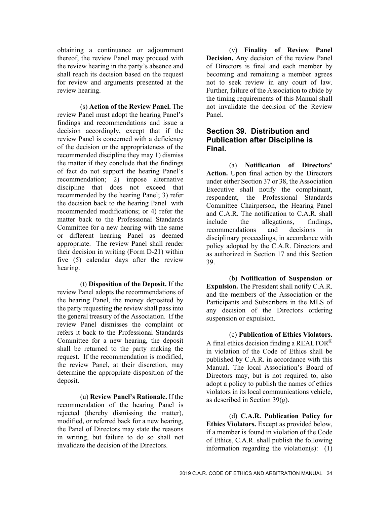obtaining a continuance or adjournment thereof, the review Panel may proceed with the review hearing in the party's absence and shall reach its decision based on the request for review and arguments presented at the review hearing.

(s) **Action of the Review Panel.** The review Panel must adopt the hearing Panel's findings and recommendations and issue a decision accordingly, except that if the review Panel is concerned with a deficiency of the decision or the appropriateness of the recommended discipline they may 1) dismiss the matter if they conclude that the findings of fact do not support the hearing Panel's recommendation; 2) impose alternative discipline that does not exceed that recommended by the hearing Panel; 3) refer the decision back to the hearing Panel with recommended modifications; or 4) refer the matter back to the Professional Standards Committee for a new hearing with the same or different hearing Panel as deemed appropriate. The review Panel shall render their decision in writing (Form D-21) within five (5) calendar days after the review hearing.

(t) **Disposition of the Deposit.** If the review Panel adopts the recommendations of the hearing Panel, the money deposited by the party requesting the review shall pass into the general treasury of the Association. If the review Panel dismisses the complaint or refers it back to the Professional Standards Committee for a new hearing, the deposit shall be returned to the party making the request. If the recommendation is modified, the review Panel, at their discretion, may determine the appropriate disposition of the deposit.

(u) **Review Panel's Rationale.** If the recommendation of the hearing Panel is rejected (thereby dismissing the matter), modified, or referred back for a new hearing, the Panel of Directors may state the reasons in writing, but failure to do so shall not invalidate the decision of the Directors.

(v) **Finality of Review Panel Decision.** Any decision of the review Panel of Directors is final and each member by becoming and remaining a member agrees not to seek review in any court of law. Further, failure of the Association to abide by the timing requirements of this Manual shall not invalidate the decision of the Review Panel.

#### **Section 39. Distribution and Publication after Discipline is Final.**

(a) **Notification of Directors' Action.** Upon final action by the Directors under either Section 37 or 38, the Association Executive shall notify the complainant, respondent, the Professional Standards Committee Chairperson, the Hearing Panel and C.A.R. The notification to C.A.R. shall include the allegations, findings, recommendations and decisions in disciplinary proceedings, in accordance with policy adopted by the C.A.R. Directors and as authorized in Section 17 and this Section 39.

(b) **Notification of Suspension or Expulsion.** The President shall notify C.A.R. and the members of the Association or the Participants and Subscribers in the MLS of any decision of the Directors ordering suspension or expulsion.

(c) **Publication of Ethics Violators.**  A final ethics decision finding a REALTOR<sup>®</sup> in violation of the Code of Ethics shall be published by C.A.R. in accordance with this Manual. The local Association's Board of Directors may, but is not required to, also adopt a policy to publish the names of ethics violators in its local communications vehicle, as described in Section 39(g).

(d) **C.A.R. Publication Policy for Ethics Violators.** Except as provided below, if a member is found in violation of the Code of Ethics, C.A.R. shall publish the following information regarding the violation(s): (1)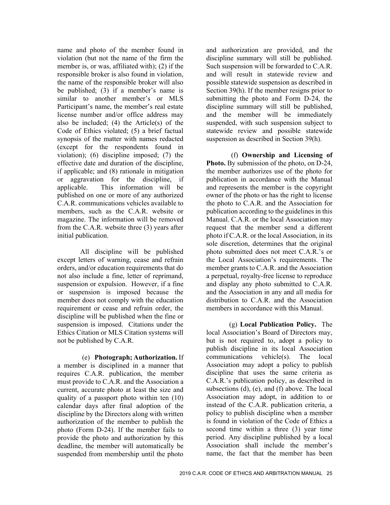name and photo of the member found in violation (but not the name of the firm the member is, or was, affiliated with); (2) if the responsible broker is also found in violation, the name of the responsible broker will also be published; (3) if a member's name is similar to another member's or MLS Participant's name, the member's real estate license number and/or office address may also be included;  $(4)$  the Article $(s)$  of the Code of Ethics violated; (5) a brief factual synopsis of the matter with names redacted (except for the respondents found in violation); (6) discipline imposed; (7) the effective date and duration of the discipline, if applicable; and (8) rationale in mitigation or aggravation for the discipline, if applicable. This information will be published on one or more of any authorized C.A.R. communications vehicles available to members, such as the C.A.R. website or magazine. The information will be removed from the C.A.R. website three (3) years after initial publication.

All discipline will be published except letters of warning, cease and refrain orders, and/or education requirements that do not also include a fine, letter of reprimand, suspension or expulsion. However, if a fine or suspension is imposed because the member does not comply with the education requirement or cease and refrain order, the discipline will be published when the fine or suspension is imposed. Citations under the Ethics Citation or MLS Citation systems will not be published by C.A.R.

(e) **Photograph; Authorization.** If a member is disciplined in a manner that requires C.A.R. publication, the member must provide to C.A.R. and the Association a current, accurate photo at least the size and quality of a passport photo within ten (10) calendar days after final adoption of the discipline by the Directors along with written authorization of the member to publish the photo (Form D-24). If the member fails to provide the photo and authorization by this deadline, the member will automatically be suspended from membership until the photo

and authorization are provided, and the discipline summary will still be published. Such suspension will be forwarded to C.A.R. and will result in statewide review and possible statewide suspension as described in Section 39(h). If the member resigns prior to submitting the photo and Form D-24, the discipline summary will still be published, and the member will be immediately suspended, with such suspension subject to statewide review and possible statewide suspension as described in Section 39(h).

(f) **Ownership and Licensing of Photo.** By submission of the photo, on D-24, the member authorizes use of the photo for publication in accordance with the Manual and represents the member is the copyright owner of the photo or has the right to license the photo to C.A.R. and the Association for publication according to the guidelines in this Manual. C.A.R. or the local Association may request that the member send a different photo if C.A.R. or the local Association, in its sole discretion, determines that the original photo submitted does not meet C.A.R.'s or the Local Association's requirements. The member grants to C.A.R. and the Association a perpetual, royalty-free license to reproduce and display any photo submitted to C.A.R. and the Association in any and all media for distribution to C.A.R. and the Association members in accordance with this Manual.

(g) **Local Publication Policy.** The local Association's Board of Directors may, but is not required to, adopt a policy to publish discipline in its local Association communications vehicle(s). The local Association may adopt a policy to publish discipline that uses the same criteria as C.A.R.'s publication policy, as described in subsections (d), (e), and (f) above. The local Association may adopt, in addition to or instead of the C.A.R. publication criteria, a policy to publish discipline when a member is found in violation of the Code of Ethics a second time within a three (3) year time period. Any discipline published by a local Association shall include the member's name, the fact that the member has been